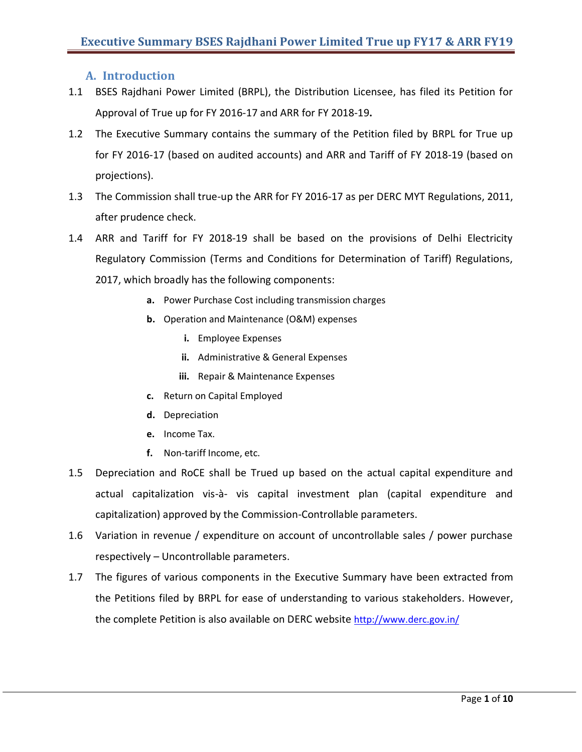# **A. Introduction**

- 1.1 BSES Rajdhani Power Limited (BRPL), the Distribution Licensee, has filed its Petition for Approval of True up for FY 2016-17 and ARR for FY 2018-19**.**
- 1.2 The Executive Summary contains the summary of the Petition filed by BRPL for True up for FY 2016-17 (based on audited accounts) and ARR and Tariff of FY 2018-19 (based on projections).
- 1.3 The Commission shall true-up the ARR for FY 2016-17 as per DERC MYT Regulations, 2011, after prudence check.
- 1.4 ARR and Tariff for FY 2018-19 shall be based on the provisions of Delhi Electricity Regulatory Commission (Terms and Conditions for Determination of Tariff) Regulations, 2017, which broadly has the following components:
	- **a.** Power Purchase Cost including transmission charges
	- **b.** Operation and Maintenance (O&M) expenses
		- **i.** Employee Expenses
		- **ii.** Administrative & General Expenses
		- **iii.** Repair & Maintenance Expenses
	- **c.** Return on Capital Employed
	- **d.** Depreciation
	- **e.** Income Tax.
	- **f.** Non-tariff Income, etc.
- 1.5 Depreciation and RoCE shall be Trued up based on the actual capital expenditure and actual capitalization vis-à- vis capital investment plan (capital expenditure and capitalization) approved by the Commission-Controllable parameters.
- 1.6 Variation in revenue / expenditure on account of uncontrollable sales / power purchase respectively – Uncontrollable parameters.
- 1.7 The figures of various components in the Executive Summary have been extracted from the Petitions filed by BRPL for ease of understanding to various stakeholders. However, the complete Petition is also available on DERC website <http://www.derc.gov.in/>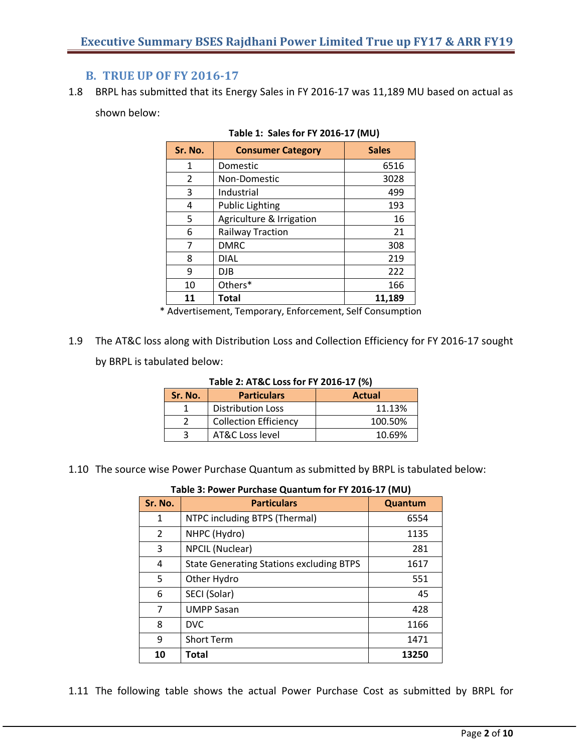# **B. TRUE UP OF FY 2016-17**

1.8 BRPL has submitted that its Energy Sales in FY 2016-17 was 11,189 MU based on actual as shown below:

| Sr. No. | <b>Consumer Category</b> | <b>Sales</b> |
|---------|--------------------------|--------------|
| 1       | Domestic                 | 6516         |
| 2       | Non-Domestic             | 3028         |
| 3       | Industrial               | 499          |
| 4       | <b>Public Lighting</b>   | 193          |
| 5       | Agriculture & Irrigation | 16           |
| 6       | <b>Railway Traction</b>  | 21           |
| 7       | <b>DMRC</b>              | 308          |
| 8       | <b>DIAL</b>              | 219          |
| 9       | <b>DJB</b>               | 222          |
| 10      | Others*                  | 166          |
| 11      | Total                    | 11,189       |

#### **Table 1: Sales for FY 2016-17 (MU)**

\* Advertisement, Temporary, Enforcement, Self Consumption

1.9 The AT&C loss along with Distribution Loss and Collection Efficiency for FY 2016-17 sought by BRPL is tabulated below:

| $1800C$ <b>E.</b> AT GC LOSS TOT T T EUITU-IT (70) |                              |               |  |
|----------------------------------------------------|------------------------------|---------------|--|
| Sr. No.                                            | <b>Particulars</b>           | <b>Actual</b> |  |
|                                                    | <b>Distribution Loss</b>     | 11.13%        |  |
|                                                    | <b>Collection Efficiency</b> | 100.50%       |  |
|                                                    | AT&C Loss level              | 10.69%        |  |

### **Table 2: AT&C Loss for FY 2016-17 (%)**

1.10 The source wise Power Purchase Quantum as submitted by BRPL is tabulated below:

| Sr. No.        | <b>Particulars</b>                              | Quantum |
|----------------|-------------------------------------------------|---------|
| 1              | NTPC including BTPS (Thermal)                   | 6554    |
| $\overline{2}$ | NHPC (Hydro)                                    | 1135    |
| 3              | <b>NPCIL (Nuclear)</b>                          | 281     |
| 4              | <b>State Generating Stations excluding BTPS</b> | 1617    |
| 5              | Other Hydro                                     | 551     |
| 6              | SECI (Solar)                                    | 45      |
| 7              | <b>UMPP Sasan</b>                               | 428     |
| 8              | <b>DVC</b>                                      | 1166    |
| 9              | <b>Short Term</b>                               | 1471    |
| 10             | <b>Total</b>                                    | 13250   |

#### **Table 3: Power Purchase Quantum for FY 2016-17 (MU)**

1.11 The following table shows the actual Power Purchase Cost as submitted by BRPL for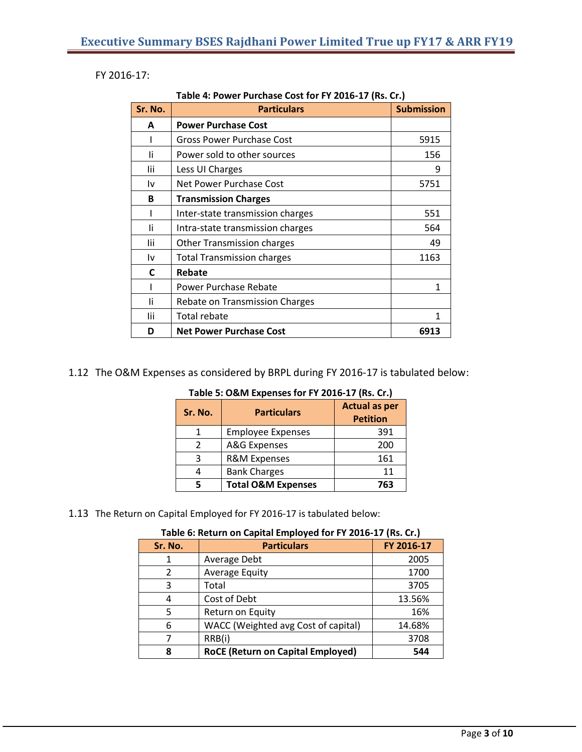FY 2016-17:

**Table 4: Power Purchase Cost for FY 2016-17 (Rs. Cr.)**

| Sr. No. | <b>Particulars</b>                | <b>Submission</b> |
|---------|-----------------------------------|-------------------|
| A       | <b>Power Purchase Cost</b>        |                   |
|         | Gross Power Purchase Cost         | 5915              |
| Ιi      | Power sold to other sources       | 156               |
| lii     | Less UI Charges                   | 9                 |
| ١v      | Net Power Purchase Cost           | 5751              |
| B       | <b>Transmission Charges</b>       |                   |
|         | Inter-state transmission charges  | 551               |
| Ιi      | Intra-state transmission charges  | 564               |
| lii     | <b>Other Transmission charges</b> | 49                |
| ١v      | <b>Total Transmission charges</b> | 1163              |
| C       | Rebate                            |                   |
|         | Power Purchase Rebate             | 1                 |
| Ιi      | Rebate on Transmission Charges    |                   |
| lii     | <b>Total rebate</b>               | 1                 |
| D       | <b>Net Power Purchase Cost</b>    | 6913              |

1.12 The O&M Expenses as considered by BRPL during FY 2016-17 is tabulated below:

| Sr. No. | <b>Particulars</b>            | <b>Actual as per</b><br><b>Petition</b> |
|---------|-------------------------------|-----------------------------------------|
|         | <b>Employee Expenses</b>      | 391                                     |
| 2       | A&G Expenses                  | 200                                     |
| ξ       | <b>R&amp;M Expenses</b>       | 161                                     |
|         | <b>Bank Charges</b>           | 11                                      |
|         | <b>Total O&amp;M Expenses</b> | 763                                     |

**Table 5: O&M Expenses for FY 2016-17 (Rs. Cr.)**

1.13 The Return on Capital Employed for FY 2016-17 is tabulated below:

| Table 6: Return on Capital Employed for FY 2016-17 (Rs. Cr.) |                                          |            |
|--------------------------------------------------------------|------------------------------------------|------------|
| Sr. No.                                                      | <b>Particulars</b>                       | FY 2016-17 |
|                                                              | Average Debt                             | 2005       |
| 2                                                            | <b>Average Equity</b>                    | 1700       |
| 3                                                            | Total                                    | 3705       |
| 4                                                            | Cost of Debt                             | 13.56%     |
| 5                                                            | Return on Equity                         | 16%        |
| 6                                                            | WACC (Weighted avg Cost of capital)      | 14.68%     |
| 7                                                            | RRB(i)                                   | 3708       |
| 8                                                            | <b>RoCE (Return on Capital Employed)</b> | 544        |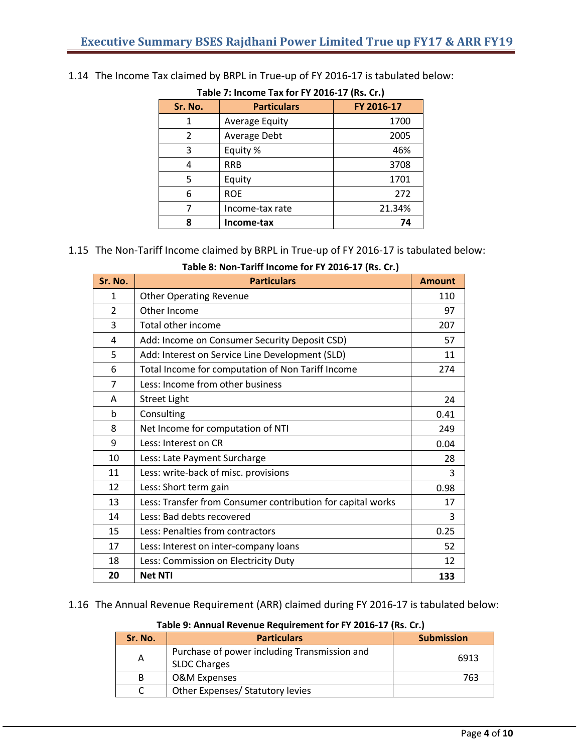| Table 7: Income Tax for FY 2016-17 (Rs. Cr.) |                       |            |  |
|----------------------------------------------|-----------------------|------------|--|
| Sr. No.                                      | <b>Particulars</b>    | FY 2016-17 |  |
| 1                                            | <b>Average Equity</b> | 1700       |  |
| 2                                            | Average Debt          | 2005       |  |
| 3                                            | Equity %              | 46%        |  |
| 4                                            | <b>RRB</b>            | 3708       |  |
| 5                                            | Equity                | 1701       |  |
| 6                                            | <b>ROE</b>            | 272        |  |
| 7                                            | Income-tax rate       | 21.34%     |  |
| 8                                            | Income-tax            | 74         |  |

## 1.14 The Income Tax claimed by BRPL in True-up of FY 2016-17 is tabulated below:

# 1.15 The Non-Tariff Income claimed by BRPL in True-up of FY 2016-17 is tabulated below:

| Table 8: Non-Tariff Income for FY 2016-17 (Rs. Cr.) |  |  |
|-----------------------------------------------------|--|--|
|-----------------------------------------------------|--|--|

| Sr. No.        | <b>Particulars</b>                                          | <b>Amount</b> |
|----------------|-------------------------------------------------------------|---------------|
| 1              | <b>Other Operating Revenue</b>                              | 110           |
| 2              | Other Income                                                | 97            |
| 3              | Total other income                                          | 207           |
| 4              | Add: Income on Consumer Security Deposit CSD)               | 57            |
| 5              | Add: Interest on Service Line Development (SLD)             | 11            |
| 6              | Total Income for computation of Non Tariff Income           | 274           |
| $\overline{7}$ | Less: Income from other business                            |               |
| A              | <b>Street Light</b>                                         | 24            |
| b              | Consulting                                                  | 0.41          |
| 8              | Net Income for computation of NTI                           | 249           |
| 9              | Less: Interest on CR                                        | 0.04          |
| 10             | Less: Late Payment Surcharge                                | 28            |
| 11             | Less: write-back of misc. provisions                        | 3             |
| 12             | Less: Short term gain                                       | 0.98          |
| 13             | Less: Transfer from Consumer contribution for capital works | 17            |
| 14             | Less: Bad debts recovered                                   | 3             |
| 15             | Less: Penalties from contractors                            | 0.25          |
| 17             | Less: Interest on inter-company loans                       | 52            |
| 18             | Less: Commission on Electricity Duty                        | 12            |
| 20             | <b>Net NTI</b>                                              | 133           |

1.16 The Annual Revenue Requirement (ARR) claimed during FY 2016-17 is tabulated below:

**Table 9: Annual Revenue Requirement for FY 2016-17 (Rs. Cr.)**

| Sr. No. | <b>Particulars</b>                                                  | <b>Submission</b> |
|---------|---------------------------------------------------------------------|-------------------|
| A       | Purchase of power including Transmission and<br><b>SLDC Charges</b> | 6913              |
| B       | <b>O&amp;M Expenses</b>                                             | 763               |
|         | Other Expenses/ Statutory levies                                    |                   |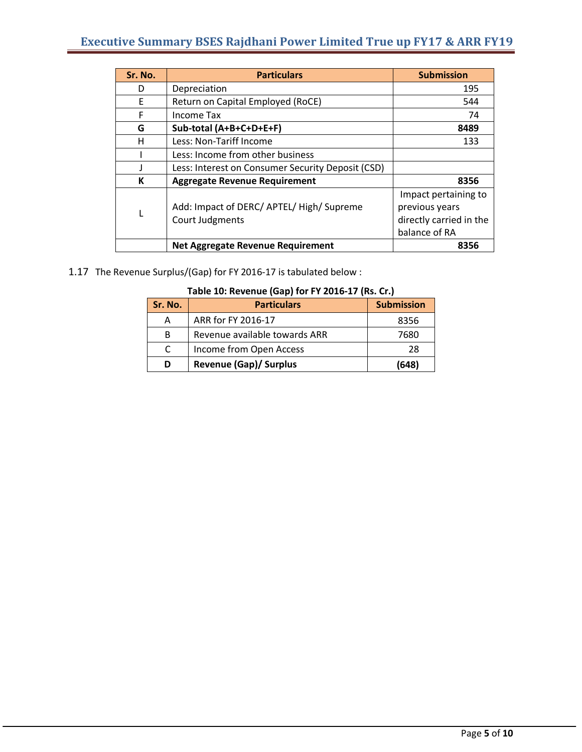| Sr. No. | <b>Particulars</b>                                | <b>Submission</b>       |
|---------|---------------------------------------------------|-------------------------|
| D       | Depreciation                                      | 195                     |
| F       | Return on Capital Employed (RoCE)                 | 544                     |
| F       | Income Tax                                        | 74                      |
| G       | Sub-total (A+B+C+D+E+F)                           | 8489                    |
| н       | Less: Non-Tariff Income                           | 133                     |
|         | Less: Income from other business                  |                         |
|         | Less: Interest on Consumer Security Deposit (CSD) |                         |
| К       | <b>Aggregate Revenue Requirement</b>              | 8356                    |
|         |                                                   | Impact pertaining to    |
|         | Add: Impact of DERC/ APTEL/ High/ Supreme         | previous years          |
|         | Court Judgments                                   | directly carried in the |
|         |                                                   | balance of RA           |
|         | <b>Net Aggregate Revenue Requirement</b>          | 8356                    |

1.17 The Revenue Surplus/(Gap) for FY 2016-17 is tabulated below :

| Sr. No. | <b>Particulars</b>            | <b>Submission</b> |
|---------|-------------------------------|-------------------|
| А       | ARR for FY 2016-17            | 8356              |
| B       | Revenue available towards ARR | 7680              |
| C       | Income from Open Access       | 28                |
| D       | <b>Revenue (Gap)/ Surplus</b> | (648)             |

### **Table 10: Revenue (Gap) for FY 2016-17 (Rs. Cr.)**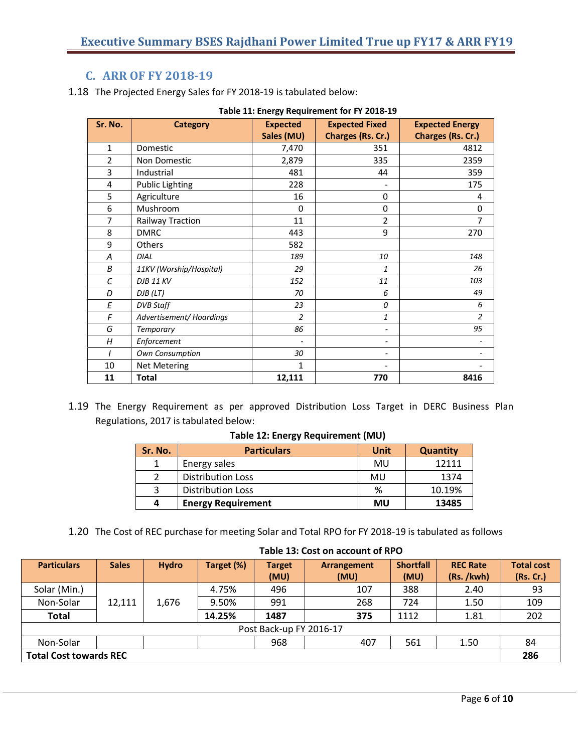# **C. ARR OF FY 2018-19**

1.18 The Projected Energy Sales for FY 2018-19 is tabulated below:

| asic 11: $\epsilon$ nci <sub>b</sub> y nequirement for i r 2010 15 |                         |                               |                                            |                                             |  |
|--------------------------------------------------------------------|-------------------------|-------------------------------|--------------------------------------------|---------------------------------------------|--|
| Sr. No.                                                            | <b>Category</b>         | <b>Expected</b><br>Sales (MU) | <b>Expected Fixed</b><br>Charges (Rs. Cr.) | <b>Expected Energy</b><br>Charges (Rs. Cr.) |  |
| $\mathbf{1}$                                                       | Domestic                | 7,470                         | 351                                        | 4812                                        |  |
| $\overline{2}$                                                     | Non Domestic            | 2,879                         | 335                                        | 2359                                        |  |
| 3                                                                  | Industrial              | 481                           | 44                                         | 359                                         |  |
| 4                                                                  | <b>Public Lighting</b>  | 228                           |                                            | 175                                         |  |
| 5                                                                  | Agriculture             | 16                            | $\mathbf 0$                                | 4                                           |  |
| 6                                                                  | Mushroom                | 0                             | 0                                          | 0                                           |  |
| 7                                                                  | Railway Traction        | 11                            | $\overline{2}$                             | 7                                           |  |
| 8                                                                  | <b>DMRC</b>             | 443                           | 9                                          | 270                                         |  |
| 9                                                                  | <b>Others</b>           | 582                           |                                            |                                             |  |
| A                                                                  | <b>DIAL</b>             | 189                           | 10                                         | 148                                         |  |
| B                                                                  | 11KV (Worship/Hospital) | 29                            | $\mathbf{1}$                               | 26                                          |  |
| $\mathcal{C}_{0}$                                                  | <b>DJB 11 KV</b>        | 152                           | 11                                         | 103                                         |  |
| D                                                                  | DJB (LT)                | 70                            | 6                                          | 49                                          |  |
| E                                                                  | <b>DVB Staff</b>        | 23                            | $\theta$                                   | 6                                           |  |
| F                                                                  | Advertisement/Hoardings | $\overline{a}$                | 1                                          | $\overline{a}$                              |  |
| G                                                                  | Temporary               | 86                            |                                            | 95                                          |  |
| H                                                                  | Enforcement             |                               |                                            |                                             |  |
|                                                                    | Own Consumption         | 30                            |                                            |                                             |  |
| 10                                                                 | <b>Net Metering</b>     | 1                             |                                            |                                             |  |
| 11                                                                 | <b>Total</b>            | 12,111                        | 770                                        | 8416                                        |  |

1.19 The Energy Requirement as per approved Distribution Loss Target in DERC Business Plan Regulations, 2017 is tabulated below:

#### **Table 12: Energy Requirement (MU)**

| Sr. No. | <b>Particulars</b>        | Unit | <b>Quantity</b> |
|---------|---------------------------|------|-----------------|
|         | Energy sales              | MU   | 12111           |
|         | <b>Distribution Loss</b>  | MU   | 1374            |
|         | <b>Distribution Loss</b>  | %    | 10.19%          |
| Д       | <b>Energy Requirement</b> | MU   | 13485           |

1.20 The Cost of REC purchase for meeting Solar and Total RPO for FY 2018-19 is tabulated as follows

| <b>Particulars</b>      | <b>Sales</b>                  | <b>Hydro</b> | Target (%) | <b>Target</b> | Arrangement | <b>Shortfall</b> | <b>REC Rate</b> | <b>Total cost</b> |
|-------------------------|-------------------------------|--------------|------------|---------------|-------------|------------------|-----------------|-------------------|
|                         |                               |              |            | (MU)          | (MU)        | (MU)             | (Rs. /kwh)      | (Rs. Cr.)         |
| Solar (Min.)            |                               |              | 4.75%      | 496           | 107         | 388              | 2.40            | 93                |
| Non-Solar               | 12,111                        | 1.676        | 9.50%      | 991           | 268         | 724              | 1.50            | 109               |
| <b>Total</b>            |                               |              | 14.25%     | 1487          | 375         | 1112             | 1.81            | 202               |
| Post Back-up FY 2016-17 |                               |              |            |               |             |                  |                 |                   |
| Non-Solar               |                               |              |            | 968           | 407         | 561              | 1.50            | 84                |
|                         | <b>Total Cost towards REC</b> |              |            |               |             |                  | 286             |                   |

#### **Table 13: Cost on account of RPO**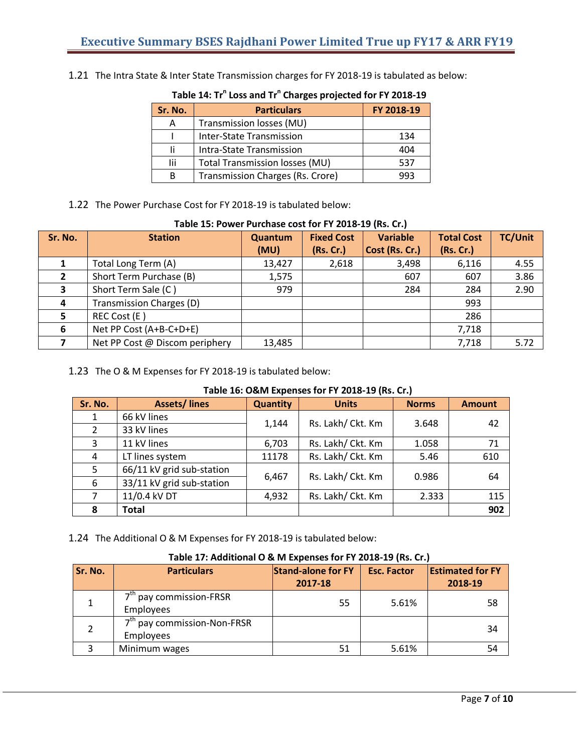1.21 The Intra State & Inter State Transmission charges for FY 2018-19 is tabulated as below:

### **Table 14: Tr n Loss and Tr n Charges projected for FY 2018-19**

| Sr. No. | <b>Particulars</b>                    | FY 2018-19 |
|---------|---------------------------------------|------------|
| A       | Transmission losses (MU)              |            |
|         | <b>Inter-State Transmission</b>       | 134        |
|         | Intra-State Transmission              | 404        |
| Ιij     | <b>Total Transmission losses (MU)</b> | 537        |
| B       | Transmission Charges (Rs. Crore)      | 993        |

#### 1.22 The Power Purchase Cost for FY 2018-19 is tabulated below:

| Table 15: Power Purchase cost for FY 2018-19 (Rs. Cr.) |                                 |         |                   |                 |                   |                |
|--------------------------------------------------------|---------------------------------|---------|-------------------|-----------------|-------------------|----------------|
| Sr. No.                                                | <b>Station</b>                  | Quantum | <b>Fixed Cost</b> | <b>Variable</b> | <b>Total Cost</b> | <b>TC/Unit</b> |
|                                                        |                                 | (MU)    | (Rs. Cr.)         | Cost (Rs. Cr.)  | (Rs. Cr.)         |                |
|                                                        | Total Long Term (A)             | 13,427  | 2,618             | 3,498           | 6,116             | 4.55           |
|                                                        | Short Term Purchase (B)         | 1,575   |                   | 607             | 607               | 3.86           |
| 3                                                      | Short Term Sale (C)             | 979     |                   | 284             | 284               | 2.90           |
| 4                                                      | <b>Transmission Charges (D)</b> |         |                   |                 | 993               |                |
| 5                                                      | REC Cost (E)                    |         |                   |                 | 286               |                |
| 6                                                      | Net PP Cost (A+B-C+D+E)         |         |                   |                 | 7,718             |                |
|                                                        | Net PP Cost @ Discom periphery  | 13,485  |                   |                 | 7,718             | 5.72           |

# **Table 15: Power Purchase cost for FY 2018-19 (Rs. Cr.)**

### 1.23 The O & M Expenses for FY 2018-19 is tabulated below:

#### **Table 16: O&M Expenses for FY 2018-19 (Rs. Cr.)**

| Sr. No.        | <b>Assets/lines</b>       | <b>Quantity</b> | <b>Units</b>      | <b>Norms</b> | <b>Amount</b> |
|----------------|---------------------------|-----------------|-------------------|--------------|---------------|
| $\mathbf{1}$   | 66 kV lines               | 1,144           | Rs. Lakh/ Ckt. Km | 3.648        |               |
| 2              | 33 kV lines               |                 |                   |              | 42            |
| $\overline{3}$ | 11 kV lines               | 6,703           | Rs. Lakh/ Ckt. Km | 1.058        | 71            |
| $\overline{4}$ | LT lines system           | 11178           | Rs. Lakh/ Ckt. Km | 5.46         | 610           |
| 5              | 66/11 kV grid sub-station |                 | Rs. Lakh/ Ckt. Km | 0.986        |               |
| 6              | 33/11 kV grid sub-station | 6,467           |                   |              | 64            |
| 7              | 11/0.4 kV DT              | 4,932           | Rs. Lakh/ Ckt. Km | 2.333        | 115           |
| 8              | <b>Total</b>              |                 |                   |              | 902           |

1.24 The Additional O & M Expenses for FY 2018-19 is tabulated below:

#### **Sr. No. Particulars Stand-alone for FY 2017-18 Esc. Factor Estimated for FY 2018-19** 1 7<sup>th</sup> pay commission-FRSR Employees <sup>55</sup> 5.61% <sup>58</sup> 2 7<sup>th</sup> pay commission-Non-FRSR Employees 34 3 | Minimum wages | 51 | 5.61% | 54

#### **Table 17: Additional O & M Expenses for FY 2018-19 (Rs. Cr.)**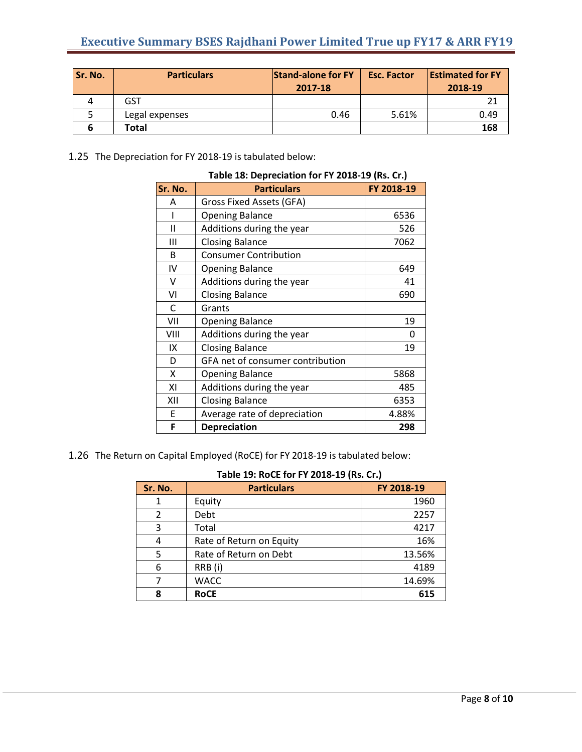| Sr. No. | <b>Particulars</b> | <b>Stand-alone for FY</b><br>2017-18 | <b>Esc. Factor</b> | <b>Estimated for FY</b><br>2018-19 |
|---------|--------------------|--------------------------------------|--------------------|------------------------------------|
|         | <b>GST</b>         |                                      |                    | 21                                 |
|         | Legal expenses     | 0.46                                 | 5.61%              | 0.49                               |
|         | Total              |                                      |                    | 168                                |

1.25 The Depreciation for FY 2018-19 is tabulated below:

| Sr. No.      | Table 18: Depreciation for FY 2018-19 (Rs. Cr.)<br><b>Particulars</b> | FY 2018-19 |
|--------------|-----------------------------------------------------------------------|------------|
| A            | <b>Gross Fixed Assets (GFA)</b>                                       |            |
|              | <b>Opening Balance</b>                                                | 6536       |
| $\mathbf{I}$ | Additions during the year                                             | 526        |
| Ш            | <b>Closing Balance</b>                                                | 7062       |
| B            | <b>Consumer Contribution</b>                                          |            |
| IV           | <b>Opening Balance</b>                                                | 649        |
| v            | Additions during the year                                             | 41         |
| VI           | <b>Closing Balance</b>                                                | 690        |
| C            | Grants                                                                |            |
| VII          | <b>Opening Balance</b>                                                | 19         |
| VIII         | Additions during the year                                             | 0          |
| IX           | <b>Closing Balance</b>                                                | 19         |
| D            | GFA net of consumer contribution                                      |            |
| X            | <b>Opening Balance</b>                                                | 5868       |
| ΧI           | Additions during the year                                             | 485        |
| XII          | <b>Closing Balance</b>                                                | 6353       |
| E            | Average rate of depreciation                                          | 4.88%      |
| F            | <b>Depreciation</b>                                                   | 298        |

# **Table 18: Depreciation for FY 2018-19 (Rs. Cr.)**

1.26 The Return on Capital Employed (RoCE) for FY 2018-19 is tabulated below:

| Sr. No. | <b>Particulars</b>       | FY 2018-19 |
|---------|--------------------------|------------|
|         | Equity                   | 1960       |
|         | Debt                     | 2257       |
| 3       | Total                    | 4217       |
|         | Rate of Return on Equity | 16%        |
| 5       | Rate of Return on Debt   | 13.56%     |
| 6       | RRB(i)                   | 4189       |
|         | <b>WACC</b>              | 14.69%     |
| Ջ       | <b>RoCE</b>              | 615        |

#### **Table 19: RoCE for FY 2018-19 (Rs. Cr.)**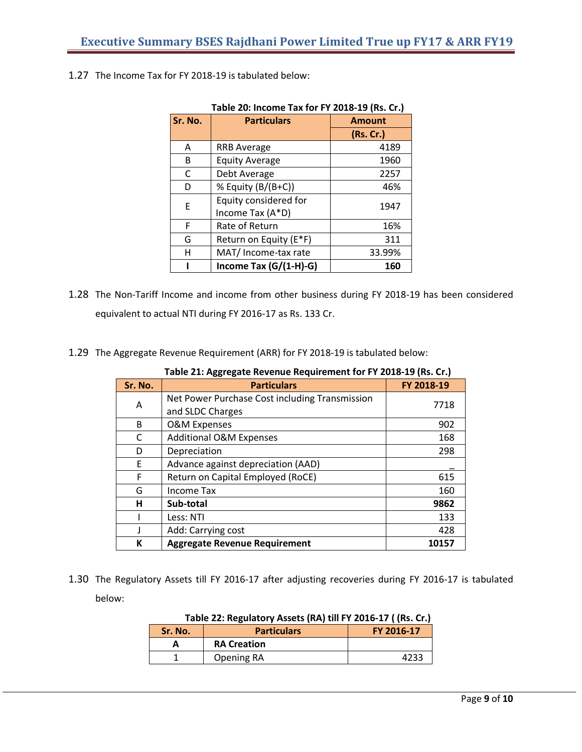| Table 20: Income Tax for FY 2018-19 (Rs. Cr.) |                        |               |  |  |
|-----------------------------------------------|------------------------|---------------|--|--|
| Sr. No.                                       | <b>Particulars</b>     | <b>Amount</b> |  |  |
|                                               |                        | (Rs. Cr.)     |  |  |
| A                                             | <b>RRB Average</b>     | 4189          |  |  |
| B                                             | <b>Equity Average</b>  | 1960          |  |  |
| C                                             | Debt Average           | 2257          |  |  |
| D                                             | % Equity (B/(B+C))     | 46%           |  |  |
| E                                             | Equity considered for  | 1947          |  |  |
|                                               | Income Tax (A*D)       |               |  |  |
| F                                             | Rate of Return         | 16%           |  |  |
| G                                             | Return on Equity (E*F) | 311           |  |  |
| н                                             | MAT/ Income-tax rate   | 33.99%        |  |  |
|                                               | Income Tax (G/(1-H)-G) | 160           |  |  |

1.27 The Income Tax for FY 2018-19 is tabulated below:

- 1.28 The Non-Tariff Income and income from other business during FY 2018-19 has been considered equivalent to actual NTI during FY 2016-17 as Rs. 133 Cr.
- 1.29 The Aggregate Revenue Requirement (ARR) for FY 2018-19 is tabulated below:

| Sr. No. | <b>Particulars</b>                             | FY 2018-19 |
|---------|------------------------------------------------|------------|
| Α       | Net Power Purchase Cost including Transmission | 7718       |
|         | and SLDC Charges                               |            |
| B       | <b>O&amp;M Expenses</b>                        | 902        |
| С       | <b>Additional O&amp;M Expenses</b>             | 168        |
| D       | Depreciation                                   | 298        |
| E       | Advance against depreciation (AAD)             |            |
| F       | Return on Capital Employed (RoCE)              | 615        |
| G       | Income Tax                                     | 160        |
| н       | Sub-total                                      | 9862       |
|         | Less: NTI                                      | 133        |
|         | Add: Carrying cost                             | 428        |
| К       | <b>Aggregate Revenue Requirement</b>           | 10157      |

**Table 21: Aggregate Revenue Requirement for FY 2018-19 (Rs. Cr.)**

1.30 The Regulatory Assets till FY 2016-17 after adjusting recoveries during FY 2016-17 is tabulated below:

| Table 22. Regulatory Assets (RA) GILL EQ10-17 (183. CR) |                    |            |  |  |
|---------------------------------------------------------|--------------------|------------|--|--|
| Sr. No.                                                 | <b>Particulars</b> | FY 2016-17 |  |  |
|                                                         | <b>RA Creation</b> |            |  |  |
|                                                         | Opening RA         | 4233       |  |  |

**Table 22: Regulatory Assets (RA) till FY 2016-17 ( (Rs. Cr.)**